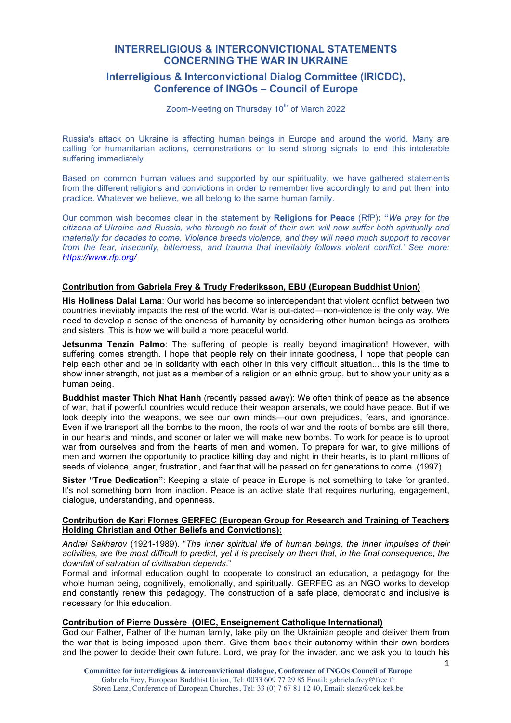# **INTERRELIGIOUS & INTERCONVICTIONAL STATEMENTS CONCERNING THE WAR IN UKRAINE**

# **Interreligious & Interconvictional Dialog Committee (IRICDC), Conference of INGOs – Council of Europe**

Zoom-Meeting on Thursday 10<sup>th</sup> of March 2022

Russia's attack on Ukraine is affecting human beings in Europe and around the world. Many are calling for humanitarian actions, demonstrations or to send strong signals to end this intolerable suffering immediately.

Based on common human values and supported by our spirituality, we have gathered statements from the different religions and convictions in order to remember live accordingly to and put them into practice. Whatever we believe, we all belong to the same human family.

Our common wish becomes clear in the statement by **Religions for Peace** (RfP)**: "***We pray for the citizens of Ukraine and Russia, who through no fault of their own will now suffer both spiritually and materially for decades to come. Violence breeds violence, and they will need much support to recover from the fear, insecurity, bitterness, and trauma that inevitably follows violent conflict." See more: https://www.rfp.org/*

# **Contribution from Gabriela Frey & Trudy Frederiksson, EBU (European Buddhist Union)**

**His Holiness Dalai Lama**: Our world has become so interdependent that violent conflict between two countries inevitably impacts the rest of the world. War is out-dated—non-violence is the only way. We need to develop a sense of the oneness of humanity by considering other human beings as brothers and sisters. This is how we will build a more peaceful world.

**Jetsunma Tenzin Palmo**: The suffering of people is really beyond imagination! However, with suffering comes strength. I hope that people rely on their innate goodness, I hope that people can help each other and be in solidarity with each other in this very difficult situation... this is the time to show inner strength, not just as a member of a religion or an ethnic group, but to show your unity as a human being.

**Buddhist master Thich Nhat Hanh** (recently passed away): We often think of peace as the absence of war, that if powerful countries would reduce their weapon arsenals, we could have peace. But if we look deeply into the weapons, we see our own minds—our own prejudices, fears, and ignorance. Even if we transport all the bombs to the moon, the roots of war and the roots of bombs are still there, in our hearts and minds, and sooner or later we will make new bombs. To work for peace is to uproot war from ourselves and from the hearts of men and women. To prepare for war, to give millions of men and women the opportunity to practice killing day and night in their hearts, is to plant millions of seeds of violence, anger, frustration, and fear that will be passed on for generations to come. (1997)

**Sister "True Dedication"**: Keeping a state of peace in Europe is not something to take for granted. It's not something born from inaction. Peace is an active state that requires nurturing, engagement, dialogue, understanding, and openness.

### **Contribution de Kari Flornes GERFEC (European Group for Research and Training of Teachers Holding Christian and Other Beliefs and Convictions):**

*Andrei Sakharov* (1921-1989). "*The inner spiritual life of human beings, the inner impulses of their activities, are the most difficult to predict, yet it is precisely on them that, in the final consequence, the downfall of salvation of civilisation depends*."

Formal and informal education ought to cooperate to construct an education, a pedagogy for the whole human being, cognitively, emotionally, and spiritually. GERFEC as an NGO works to develop and constantly renew this pedagogy. The construction of a safe place, democratic and inclusive is necessary for this education.

### **Contribution of Pierre Dussère (OIEC, Enseignement Catholique International)**

God our Father, Father of the human family, take pity on the Ukrainian people and deliver them from the war that is being imposed upon them. Give them back their autonomy within their own borders and the power to decide their own future. Lord, we pray for the invader, and we ask you to touch his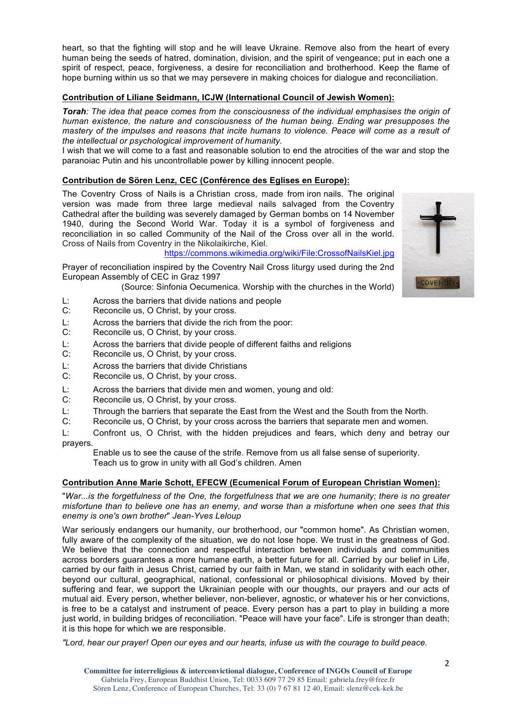heart, so that the fighting will stop and he will leave Ukraine. Remove also from the heart of every human being the seeds of hatred, domination, division, and the spirit of vengeance; put in each one a spirit of respect, peace, forgiveness, a desire for reconciliation and brotherhood. Keep the flame of hope burning within us so that we may persevere in making choices for dialogue and reconciliation.

# **Contribution of Liliane Seidmann, ICJW (International Council of Jewish Women):**

*Torah: The idea that peace comes from the consciousness of the individual emphasises the origin of human existence, the nature and consciousness of the human being. Ending war presupposes the mastery of the impulses and reasons that incite humans to violence. Peace will come as a result of the intellectual or psychological improvement of humanity*.

I wish that we will come to a fast and reasonable solution to end the atrocities of the war and stop the paranoiac Putin and his uncontrollable power by killing innocent people.

# **Contribution de Sören Lenz, CEC (Conférence des Eglises en Europe):**

The Coventry Cross of Nails is a Christian cross, made from iron nails. The original version was made from three large medieval nails salvaged from the Coventry Cathedral after the building was severely damaged by German bombs on 14 November 1940, during the Second World War. Today it is a symbol of forgiveness and reconciliation in so called Community of the Nail of the Cross over all in the world. Cross of Nails from Coventry in the Nikolaikirche, Kiel.

https://commons.wikimedia.org/wiki/File:CrossofNailsKiel.jpg

Prayer of reconciliation inspired by the Coventry Nail Cross liturgy used during the 2nd European Assembly of CEC in Graz 1997

(Source: Sinfonia Oecumenica. Worship with the churches in the World)

- L: Across the barriers that divide nations and people
- C: Reconcile us, O Christ, by your cross.
- L: Across the barriers that divide the rich from the poor:
- C: Reconcile us, O Christ, by your cross.
- L: Across the barriers that divide people of different faiths and religions
- C: Reconcile us, O Christ, by your cross.
- L: Across the barriers that divide Christians
- C: Reconcile us, O Christ, by your cross.
- L: Across the barriers that divide men and women, young and old:<br>C: Reconcile us, O Christ, by your cross.
- Reconcile us, O Christ, by your cross.
- L: Through the barriers that separate the East from the West and the South from the North.
- C: Reconcile us, O Christ, by your cross across the barriers that separate men and women.
- L: Confront us, O Christ, with the hidden prejudices and fears, which deny and betray our prayers.

Enable us to see the cause of the strife. Remove from us all false sense of superiority. Teach us to grow in unity with all God's children. Amen

# **Contribution Anne Marie Schott, EFECW (Ecumenical Forum of European Christian Women):**

"*War...is the forgetfulness of the One, the forgetfulness that we are one humanity; there is no greater misfortune than to believe one has an enemy, and worse than a misfortune when one sees that this enemy is one's own brother*" *Jean-Yves Leloup*

War seriously endangers our humanity, our brotherhood, our "common home". As Christian women, fully aware of the complexity of the situation, we do not lose hope. We trust in the greatness of God. We believe that the connection and respectful interaction between individuals and communities across borders guarantees a more humane earth, a better future for all. Carried by our belief in Life, carried by our faith in Jesus Christ, carried by our faith in Man, we stand in solidarity with each other, beyond our cultural, geographical, national, confessional or philosophical divisions. Moved by their suffering and fear, we support the Ukrainian people with our thoughts, our prayers and our acts of mutual aid. Every person, whether believer, non-believer, agnostic, or whatever his or her convictions, is free to be a catalyst and instrument of peace. Every person has a part to play in building a more just world, in building bridges of reconciliation. "Peace will have your face". Life is stronger than death; it is this hope for which we are responsible.

*"Lord, hear our prayer! Open our eyes and our hearts, infuse us with the courage to build peace.*